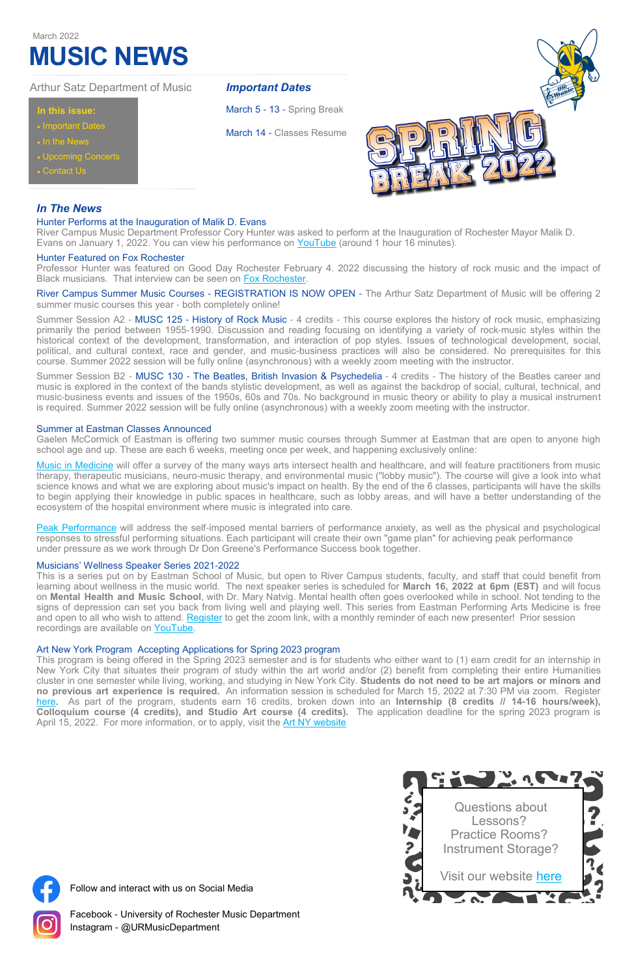## **In this issue:**

- **Important Dates**
- In the News
- Upcoming Concerts
- Contact Us

## Arthur Satz Department of Music

# **MUSIC NEWS**

#### March 2022

### *Important Dates*

March 5 - 13 - Spring Break

March 14 - Classes Resume



Follow and interact with us on Social Media



Facebook - University of Rochester Music Department Instagram - @URMusicDepartment

## *In The News*

#### Hunter Performs at the Inauguration of Malik D. Evans

River Campus Music Department Professor Cory Hunter was asked to perform at the Inauguration of Rochester Mayor Malik D. Evans on January 1, 2022. You can view his performance on [YouTube](https://www.youtube.com/watch?v=wJjldW_3QUA&t=4674s) (around 1 hour 16 minutes).

#### Hunter Featured on Fox Rochester

Professor Hunter was featured on Good Day Rochester February 4. 2022 discussing the history of rock music and the impact of Black musicians. That interview can be seen on [Fox Rochester.](https://foxrochester.com/news/good-day-rochester/black-history-month-black-rock-music-pioneers?fbclid=IwAR0oT9b3M47z-f4VZxV5VfWUG20xcgc2cyleb5GHVfEYNyGeGWV_z2hO6_M)

River Campus Summer Music Courses - REGISTRATION IS NOW OPEN - The Arthur Satz Department of Music will be offering 2 summer music courses this year - both completely online!

Summer Session B2 - MUSC 130 - The Beatles, British Invasion & Psychedelia - 4 credits - The history of the Beatles career and music is explored in the context of the bands stylistic development, as well as against the backdrop of social, cultural, technical, and music-business events and issues of the 1950s, 60s and 70s. No background in music theory or ability to play a musical instrument is required. Summer 2022 session will be fully online (asynchronous) with a weekly zoom meeting with the instructor.

Summer Session A2 - MUSC 125 - History of Rock Music - 4 credits - This course explores the history of rock music, emphasizing primarily the period between 1955-1990. Discussion and reading focusing on identifying a variety of rock-music styles within the historical context of the development, transformation, and interaction of pop styles. Issues of technological development, social, political, and cultural context, race and gender, and music-business practices will also be considered. No prerequisites for this course. Summer 2022 session will be fully online (asynchronous) with a weekly zoom meeting with the instructor.

[Music in Medicine](https://summer.esm.rochester.edu/course/music-in-medicine-online/) will offer a survey of the many ways arts intersect health and healthcare, and will feature practitioners from music therapy, therapeutic musicians, neuro-music therapy, and environmental music ("lobby music"). The course will give a look into what science knows and what we are exploring about music's impact on health. By the end of the 6 classes, participants will have the skills to begin applying their knowledge in public spaces in healthcare, such as lobby areas, and will have a better understanding of the ecosystem of the hospital environment where music is integrated into care.

[Peak Performance](https://summer.esm.rochester.edu/course/peak-performance-skills-online/) will address the self-imposed mental barriers of performance anxiety, as well as the physical and psychological responses to stressful performing situations. Each participant will create their own "game plan" for achieving peak performance under pressure as we work through Dr Don Greene's Performance Success book together.

This program is being offered in the Spring 2023 semester and is for students who either want to (1) earn credit for an internship in New York City that situates their program of study within the art world and/or (2) benefit from completing their entire Humanities cluster in one semester while living, working, and studying in New York City. **Students do not need to be art majors or minors and no previous art experience is required.** An information session is scheduled for March 15, 2022 at 7:30 PM via zoom. Register [here.](https://docs.google.com/forms/d/e/1FAIpQLSdMhUQMTg1smyAlL9wwJkATAs-NlIiVMRqymeGeb_InW-Ycyw/viewform) As part of the program, students earn 16 credits, broken down into an **Internship (8 credits // 14-16 hours/week), Colloquium course (4 credits), and Studio Art course (4 credits).** The application deadline for the spring 2023 program is April 15, 2022. For more information, or to apply, visit the <u>Art NY website</u>

#### Summer at Eastman Classes Announced

Gaelen McCormick of Eastman is offering two summer music courses through Summer at Eastman that are open to anyone high school age and up. These are each 6 weeks, meeting once per week, and happening exclusively online:

#### Musicians' Wellness Speaker Series 2021-2022

This is a series put on by Eastman School of Music, but open to River Campus students, faculty, and staff that could benefit from learning about wellness in the music world. The next speaker series is scheduled for **March 16, 2022 at 6pm (EST)** and will focus on **Mental Health and Music School**, with Dr. Mary Natvig. Mental health often goes overlooked while in school. Not tending to the signs of depression can set you back from living well and playing well. This series from Eastman Performing Arts Medicine is free and open to all who wish to attend. [Register](https://urmc.zoom.us/webinar/register/WN_BVVcTmj5Sy6b8z5XwMmm5Q) to get the zoom link, with a monthly reminder of each new presenter! Prior session recordings are available on [YouTube.](https://www.youtube.com/watch?v=_8_dwjEuLBM)

#### Art New York Program Accepting Applications for Spring 2023 program